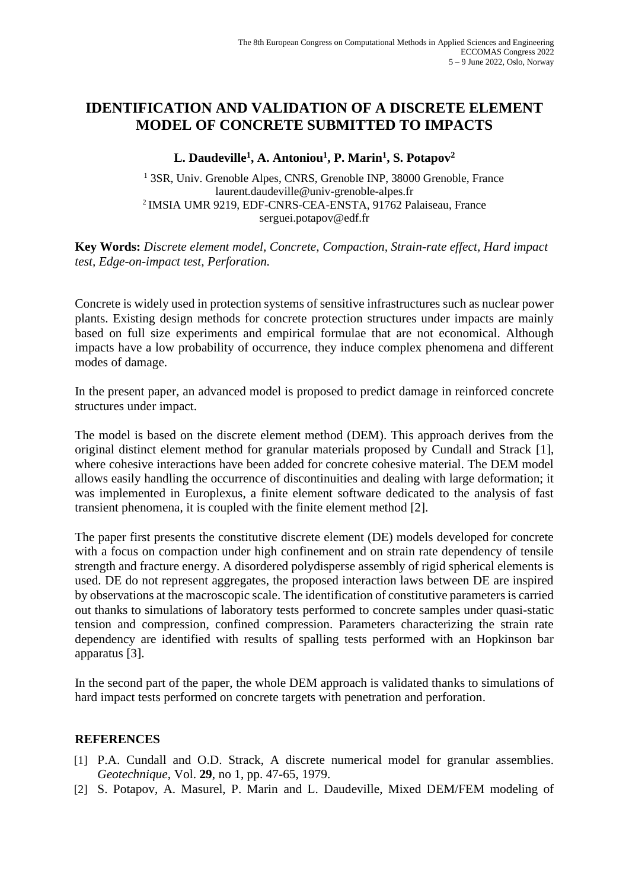## **IDENTIFICATION AND VALIDATION OF A DISCRETE ELEMENT MODEL OF CONCRETE SUBMITTED TO IMPACTS**

## **L. Daudeville<sup>1</sup> , A. Antoniou<sup>1</sup> , P. Marin<sup>1</sup> , S. Potapov<sup>2</sup>**

<sup>1</sup> 3SR, Univ. Grenoble Alpes, CNRS, Grenoble INP, 38000 Grenoble, France laurent.daudeville@univ-grenoble-alpes.fr <sup>2</sup>IMSIA UMR 9219, EDF-CNRS-CEA-ENSTA, 91762 Palaiseau, France serguei.potapov@edf.fr

**Key Words:** *Discrete element model, Concrete, Compaction, Strain-rate effect, Hard impact test, Edge-on-impact test, Perforation.*

Concrete is widely used in protection systems of sensitive infrastructures such as nuclear power plants. Existing design methods for concrete protection structures under impacts are mainly based on full size experiments and empirical formulae that are not economical. Although impacts have a low probability of occurrence, they induce complex phenomena and different modes of damage.

In the present paper, an advanced model is proposed to predict damage in reinforced concrete structures under impact.

The model is based on the discrete element method (DEM). This approach derives from the original distinct element method for granular materials proposed by Cundall and Strack [1], where cohesive interactions have been added for concrete cohesive material. The DEM model allows easily handling the occurrence of discontinuities and dealing with large deformation; it was implemented in Europlexus, a finite element software dedicated to the analysis of fast transient phenomena, it is coupled with the finite element method [2].

The paper first presents the constitutive discrete element (DE) models developed for concrete with a focus on compaction under high confinement and on strain rate dependency of tensile strength and fracture energy. A disordered polydisperse assembly of rigid spherical elements is used. DE do not represent aggregates, the proposed interaction laws between DE are inspired by observations at the macroscopic scale. The identification of constitutive parameters is carried out thanks to simulations of laboratory tests performed to concrete samples under quasi-static tension and compression, confined compression. Parameters characterizing the strain rate dependency are identified with results of spalling tests performed with an Hopkinson bar apparatus [3].

In the second part of the paper, the whole DEM approach is validated thanks to simulations of hard impact tests performed on concrete targets with penetration and perforation.

## **REFERENCES**

- [1] P.A. Cundall and O.D. Strack, A discrete numerical model for granular assemblies. *Geotechnique*, Vol. **29**, no 1, pp. 47-65, 1979.
- [2] S. Potapov, A. Masurel, P. Marin and L. Daudeville, Mixed DEM/FEM modeling of